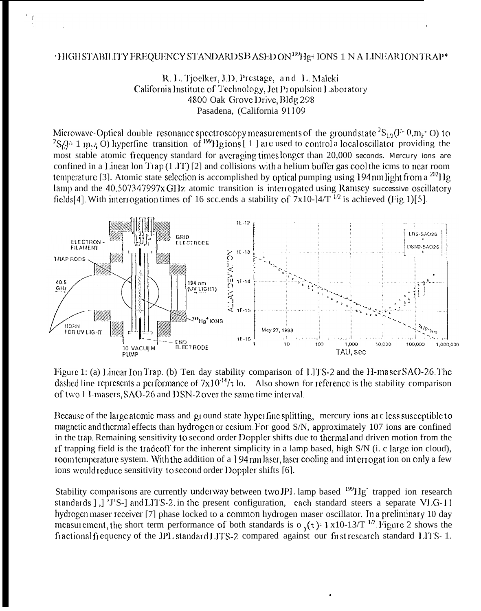## 'HIGHSTABILITY FREQUENCY STANDARDS BASED ON<sup>199</sup>Hg<sup>+</sup> IONS 1 NA LINEAR ION TRAP\*

R. L. Tjoelker, J.D. Prestage, and L. Maleki California Institute of Technology, Jet Propulsion Laboratory 4800 Oak Grove Drive, Bldg 298 Pasadena, (California 91109

Microwave-Optical double resonance spectroscopy measurements of the ground state  ${}^{2}S_{1/2}(F=0,m_{F}=0)$  to  ${}^{2}S_{1/2}(F=1~m_{F}=0)$  hyperfine transition of  ${}^{199}Hg$  ions [1] are used to control a local oscillator providing most stable atomic frequency standard for averaging times longer than 20,000 seconds. Mercury ions are confined in a Linear lon Trap  $(1 \text{ JT})$  [2] and collisions with a helium buffer gas cool the icms to near room temperature [3]. Atomic state selection is accomplished by optical pumping using 194 nm light from a  $^{202}$ llg lamp and the 40.507347997x GHz atomic transition is interrogated using Ramsey successive oscillatory fields[4]. With interrogation times of 16 scc.ends a stability of  $7x10$ -] $4/T^{-1/2}$  is achieved (Fig.1)[5].



Figure 1: (a) Linear Ion Trap. (b) Ten day stability comparison of LITS-2 and the H-maser SAO-26. The dashed line represents a performance of  $7x10^{-14}/\tau$  lo. Also shown for reference is the stability comparison of two 1 I-masers, SAO-26 and DSN-2 over the same time interval.

Because of the large atomic mass and ground state hyperfine splitting, mercury ions are less susceptible to magnetic and thermal effects than hydrogen or cesium. For good S/N, approximately 107 ions are confined in the trap. Remaining sensitivity to second order Doppler shifts due to thermal and driven motion from the of trapping field is the tradeoff for the inherent simplicity in a lamp based, high S/N (i. c large ion cloud), room temperature system. With the addition of a 194 nm laser, laser cooling and interrogation on only a few ions would reduce sensitivity to second order Doppler shifts [6].

Stability comparisons are currently underway between two JPL lamp based <sup>199</sup>Hg<sup>+</sup> trapped ion research standards [,] 'J'S-] and LITS-2 in the present configuration, each standard steers a separate VLG-11 hydrogen maser receiver [7] phase locked to a common hydrogen maser oscillator. In a preliminary 10 day measurement, the short term performance of both standards is  $o_y(\tau) = 1 \times 10^{-13}/T^{1/2}$ . Figure 2 shows the fractional frequency of the JPL standard LITS-2 compared against our first research standard LITS- 1.